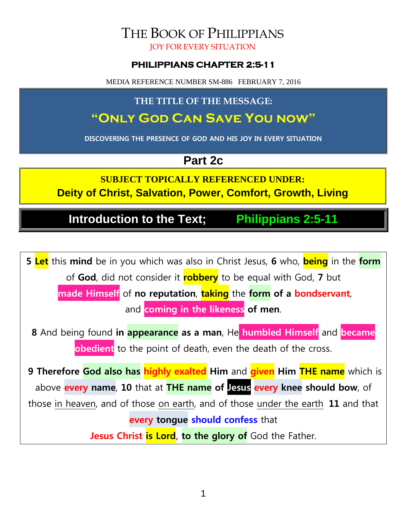# THE BOOK OF PHILIPPIANS

JOY FOR EVERY SITUATION

#### **PHILIPPIANS CHAPTER 2:5-11**

MEDIA REFERENCE NUMBER SM-886 FEBRUARY 7, 2016

## **THE TITLE OF THE MESSAGE:**

## **"Only God Can Save You now"**

**DISCOVERING THE PRESENCE OF GOD AND HIS JOY IN EVERY SITUATION**

## **Part 2c**

**SUBJECT TOPICALLY REFERENCED UNDER: Deity of Christ, Salvation, Power, Comfort, Growth, Living**

**Introduction to the Text; Philippians 2:5-11**

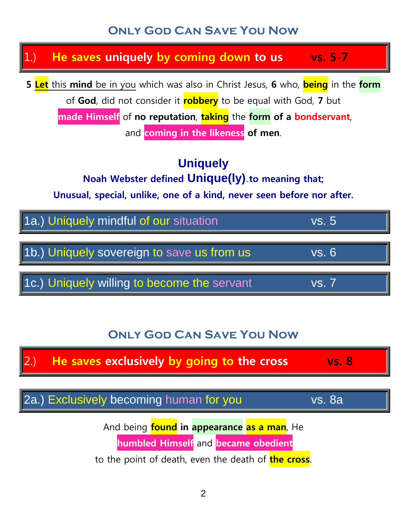## **Only God Can Save You Now**

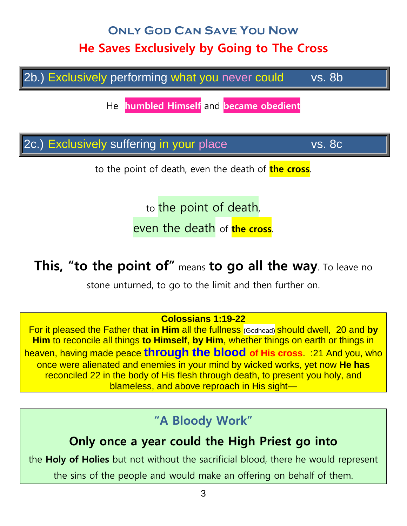# **Only God Can Save You Now He Saves Exclusively by Going to The Cross**

2b.) Exclusively performing what you never could vs. 8b

He **humbled Himself** and **became obedient**

2c.) Exclusively suffering in your place vs. 8c

to the point of death, even the death of **the cross**.

to the point of death,

even the death of **the cross**.

## **This, "to the point of"** means **to go all the way**. To leave no

stone unturned, to go to the limit and then further on.

#### **Colossians 1:19-22**

For it pleased the Father that **in Him** all the fullness (Godhead) should dwell, 20 and **by Him** to reconcile all things **to Himself**, **by Him**, whether things on earth or things in heaven, having made peace **through the blood of His cross**. :21 And you, who once were alienated and enemies in your mind by wicked works, yet now **He has** reconciled 22 in the body of His flesh through death, to present you holy, and blameless, and above reproach in His sight-

## **"A Bloody Work"**

## **Only once a year could the High Priest go into**

the **Holy of Holies** but not without the sacrificial blood, there he would represent

the sins of the people and would make an offering on behalf of them.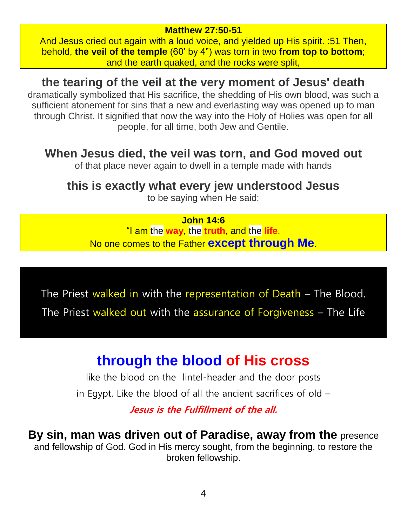#### **Matthew 27:50-51**

And Jesus cried out again with a loud voice, and yielded up His spirit. :51 Then, behold, **the veil of the temple** (60' by 4") was torn in two **from top to bottom**; and the earth quaked, and the rocks were split,

## **the tearing of the veil at the very moment of Jesus' death**

dramatically symbolized that His sacrifice, the shedding of His own blood, was such a sufficient atonement for sins that a new and everlasting way was opened up to man through Christ. It signified that now the way into the Holy of Holies was open for all people, for all time, both Jew and Gentile.

## **When Jesus died, the veil was torn, and God moved out**

of that place never again to dwell in a temple made with hands

## **this is exactly what every jew understood Jesus**

to be saying when He said:

**John 14:6**

"I am the **way**, the **truth**, and the **life**. No one comes to the Father **except through Me**.

The Priest walked in with the representation of Death – The Blood. The Priest walked out with the assurance of Forgiveness - The Life

# **through the blood of His cross**

like the blood on the lintel-header and the door posts

in Egypt. Like the blood of all the ancient sacrifices of old –

**Jesus is the Fulfillment of the all.** 

**By sin, man was driven out of Paradise, away from the** presence and fellowship of God. God in His mercy sought, from the beginning, to restore the broken fellowship.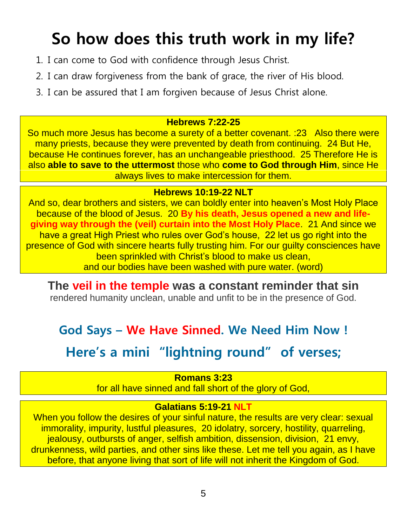# **So how does this truth work in my life?**

- 1. I can come to God with confidence through Jesus Christ.
- 2. I can draw forgiveness from the bank of grace, the river of His blood.
- 3. I can be assured that I am forgiven because of Jesus Christ alone.

#### **Hebrews 7:22-25**

So much more Jesus has become a surety of a better covenant. :23 Also there were many priests, because they were prevented by death from continuing. 24 But He, because He continues forever, has an unchangeable priesthood. 25 Therefore He is also **able to save to the uttermost** those who **come to God through Him**, since He always lives to make intercession for them.

### **Hebrews 10:19-22 NLT**

And so, dear brothers and sisters, we can boldly enter into heaven's Most Holy Place because of the blood of Jesus. 20 **By his death, Jesus opened a new and lifegiving way through the (veil) curtain into the Most Holy Place**. 21 And since we have a great High Priest who rules over God's house, 22 let us go right into the presence of God with sincere hearts fully trusting him. For our guilty consciences have been sprinkled with Christ's blood to make us clean, and our bodies have been washed with pure water. (word)

**The veil in the temple was a constant reminder that sin** rendered humanity unclean, unable and unfit to be in the presence of God.

## **God Says – We Have Sinned. We Need Him Now !**

**Here's a mini "lightning round" of verses;**

### **Romans 3:23**

for all have sinned and fall short of the glory of God,

#### **Galatians 5:19-21 NLT**

When you follow the desires of your sinful nature, the results are very clear: sexual immorality, impurity, lustful pleasures, 20 idolatry, sorcery, hostility, quarreling, jealousy, outbursts of anger, selfish ambition, dissension, division, 21 envy, drunkenness, wild parties, and other sins like these. Let me tell you again, as I have before, that anyone living that sort of life will not inherit the Kingdom of God.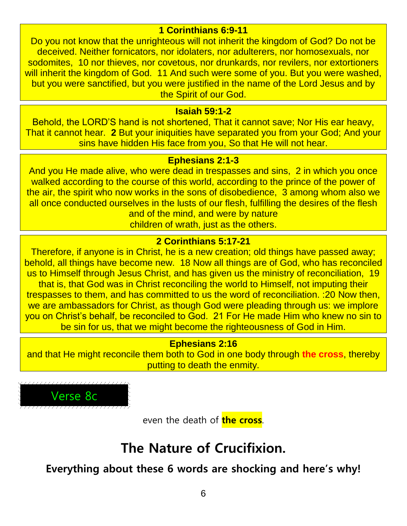#### **1 Corinthians 6:9-11**

Do you not know that the unrighteous will not inherit the kingdom of God? Do not be deceived. Neither fornicators, nor idolaters, nor adulterers, nor homosexuals, nor sodomites, 10 nor thieves, nor covetous, nor drunkards, nor revilers, nor extortioners will inherit the kingdom of God. 11 And such were some of you. But you were washed, but you were sanctified, but you were justified in the name of the Lord Jesus and by the Spirit of our God.

#### **Isaiah 59:1-2**

Behold, the LORD'S hand is not shortened, That it cannot save; Nor His ear heavy, That it cannot hear. **2** But your iniquities have separated you from your God; And your sins have hidden His face from you, So that He will not hear.

#### **Ephesians 2:1-3**

And you He made alive, who were dead in trespasses and sins, 2 in which you once walked according to the course of this world, according to the prince of the power of the air, the spirit who now works in the sons of disobedience, 3 among whom also we all once conducted ourselves in the lusts of our flesh, fulfilling the desires of the flesh and of the mind, and were by nature

children of wrath, just as the others.

### **2 Corinthians 5:17-21**

Therefore, if anyone is in Christ, he is a new creation; old things have passed away; behold, all things have become new. 18 Now all things are of God, who has reconciled us to Himself through Jesus Christ, and has given us the ministry of reconciliation, 19 that is, that God was in Christ reconciling the world to Himself, not imputing their trespasses to them, and has committed to us the word of reconciliation. :20 Now then, we are ambassadors for Christ, as though God were pleading through us: we implore you on Christ's behalf, be reconciled to God. 21 For He made Him who knew no sin to be sin for us, that we might become the righteousness of God in Him.

#### **Ephesians 2:16**

and that He might reconcile them both to God in one body through **the cross**, thereby putting to death the enmity.



even the death of **the cross**.

## **The Nature of Crucifixion.**

**Everything about these 6 words are shocking and here's why!**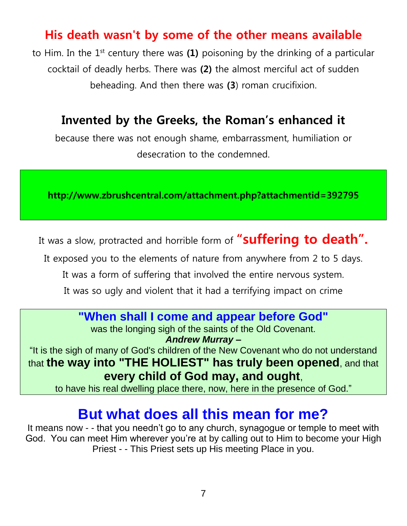## **His death wasn't by some of the other means available**

to Him. In the 1st century there was **(1)** poisoning by the drinking of a particular cocktail of deadly herbs. There was **(2)** the almost merciful act of sudden beheading. And then there was **(3**) roman crucifixion.

## **Invented by the Greeks, the Roman's enhanced it**

because there was not enough shame, embarrassment, humiliation or desecration to the condemned.

**http://www.zbrushcentral.com/attachment.php?attachmentid=392795**

It was a slow, protracted and horrible form of **"suffering to death".**

It exposed you to the elements of nature from anywhere from 2 to 5 days.

It was a form of suffering that involved the entire nervous system.

It was so ugly and violent that it had a terrifying impact on crime

## **"When shall I come and appear before God"**

was the longing sigh of the saints of the Old Covenant.

*Andrew Murray –*

"It is the sigh of many of God's children of the New Covenant who do not understand that **the way into "THE HOLIEST" has truly been opened**, and that **every child of God may, and ought**,

to have his real dwelling place there, now, here in the presence of God."

## **But what does all this mean for me?**

It means now - - that you needn't go to any church, synagogue or temple to meet with God. You can meet Him wherever you're at by calling out to Him to become your High Priest - - This Priest sets up His meeting Place in you.